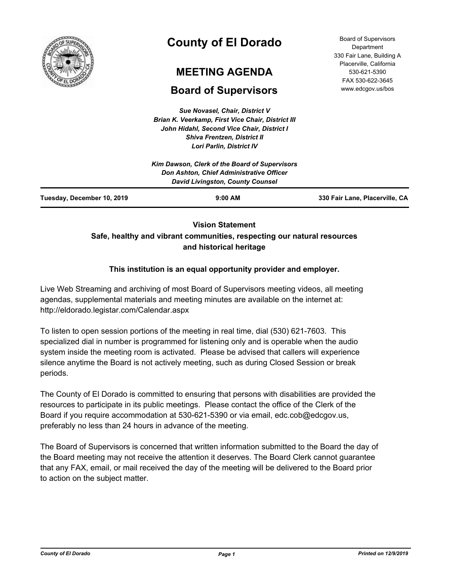

# **County of El Dorado**

## **MEETING AGENDA**

## **Board of Supervisors**

*Sue Novasel, Chair, District V Brian K. Veerkamp, First Vice Chair, District III John Hidahl, Second Vice Chair, District I Shiva Frentzen, District II Lori Parlin, District IV*

| <b>Board of Supervisors</b> |
|-----------------------------|
| Department                  |
| 330 Fair Lane, Building A   |
| Placerville, California     |
| 530-621-5390                |
| FAX 530-622-3645            |
| www.edcgov.us/bos           |

|                            | Kim Dawson, Clerk of the Board of Supervisors<br>Don Ashton, Chief Administrative Officer<br><b>David Livingston, County Counsel</b> |                                |
|----------------------------|--------------------------------------------------------------------------------------------------------------------------------------|--------------------------------|
| Tuesday, December 10, 2019 | $9:00$ AM                                                                                                                            | 330 Fair Lane, Placerville, CA |

## **Vision Statement Safe, healthy and vibrant communities, respecting our natural resources and historical heritage**

## **This institution is an equal opportunity provider and employer.**

Live Web Streaming and archiving of most Board of Supervisors meeting videos, all meeting agendas, supplemental materials and meeting minutes are available on the internet at: http://eldorado.legistar.com/Calendar.aspx

To listen to open session portions of the meeting in real time, dial (530) 621-7603. This specialized dial in number is programmed for listening only and is operable when the audio system inside the meeting room is activated. Please be advised that callers will experience silence anytime the Board is not actively meeting, such as during Closed Session or break periods.

The County of El Dorado is committed to ensuring that persons with disabilities are provided the resources to participate in its public meetings. Please contact the office of the Clerk of the Board if you require accommodation at 530-621-5390 or via email, edc.cob@edcgov.us, preferably no less than 24 hours in advance of the meeting.

The Board of Supervisors is concerned that written information submitted to the Board the day of the Board meeting may not receive the attention it deserves. The Board Clerk cannot guarantee that any FAX, email, or mail received the day of the meeting will be delivered to the Board prior to action on the subject matter.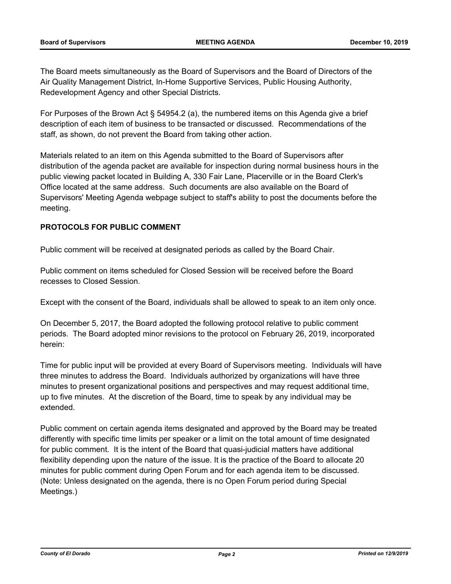The Board meets simultaneously as the Board of Supervisors and the Board of Directors of the Air Quality Management District, In-Home Supportive Services, Public Housing Authority, Redevelopment Agency and other Special Districts.

For Purposes of the Brown Act § 54954.2 (a), the numbered items on this Agenda give a brief description of each item of business to be transacted or discussed. Recommendations of the staff, as shown, do not prevent the Board from taking other action.

Materials related to an item on this Agenda submitted to the Board of Supervisors after distribution of the agenda packet are available for inspection during normal business hours in the public viewing packet located in Building A, 330 Fair Lane, Placerville or in the Board Clerk's Office located at the same address. Such documents are also available on the Board of Supervisors' Meeting Agenda webpage subject to staff's ability to post the documents before the meeting.

### **PROTOCOLS FOR PUBLIC COMMENT**

Public comment will be received at designated periods as called by the Board Chair.

Public comment on items scheduled for Closed Session will be received before the Board recesses to Closed Session.

Except with the consent of the Board, individuals shall be allowed to speak to an item only once.

On December 5, 2017, the Board adopted the following protocol relative to public comment periods. The Board adopted minor revisions to the protocol on February 26, 2019, incorporated herein:

Time for public input will be provided at every Board of Supervisors meeting. Individuals will have three minutes to address the Board. Individuals authorized by organizations will have three minutes to present organizational positions and perspectives and may request additional time, up to five minutes. At the discretion of the Board, time to speak by any individual may be extended.

Public comment on certain agenda items designated and approved by the Board may be treated differently with specific time limits per speaker or a limit on the total amount of time designated for public comment. It is the intent of the Board that quasi-judicial matters have additional flexibility depending upon the nature of the issue. It is the practice of the Board to allocate 20 minutes for public comment during Open Forum and for each agenda item to be discussed. (Note: Unless designated on the agenda, there is no Open Forum period during Special Meetings.)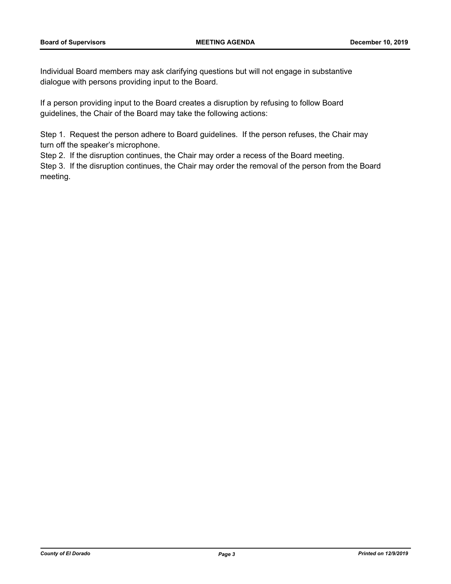Individual Board members may ask clarifying questions but will not engage in substantive dialogue with persons providing input to the Board.

If a person providing input to the Board creates a disruption by refusing to follow Board guidelines, the Chair of the Board may take the following actions:

Step 1. Request the person adhere to Board guidelines. If the person refuses, the Chair may turn off the speaker's microphone.

Step 2. If the disruption continues, the Chair may order a recess of the Board meeting.

Step 3. If the disruption continues, the Chair may order the removal of the person from the Board meeting.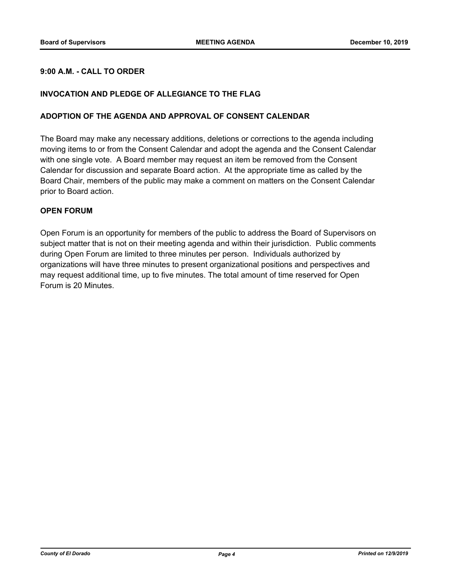### **9:00 A.M. - CALL TO ORDER**

#### **INVOCATION AND PLEDGE OF ALLEGIANCE TO THE FLAG**

#### **ADOPTION OF THE AGENDA AND APPROVAL OF CONSENT CALENDAR**

The Board may make any necessary additions, deletions or corrections to the agenda including moving items to or from the Consent Calendar and adopt the agenda and the Consent Calendar with one single vote. A Board member may request an item be removed from the Consent Calendar for discussion and separate Board action. At the appropriate time as called by the Board Chair, members of the public may make a comment on matters on the Consent Calendar prior to Board action.

#### **OPEN FORUM**

Open Forum is an opportunity for members of the public to address the Board of Supervisors on subject matter that is not on their meeting agenda and within their jurisdiction. Public comments during Open Forum are limited to three minutes per person. Individuals authorized by organizations will have three minutes to present organizational positions and perspectives and may request additional time, up to five minutes. The total amount of time reserved for Open Forum is 20 Minutes.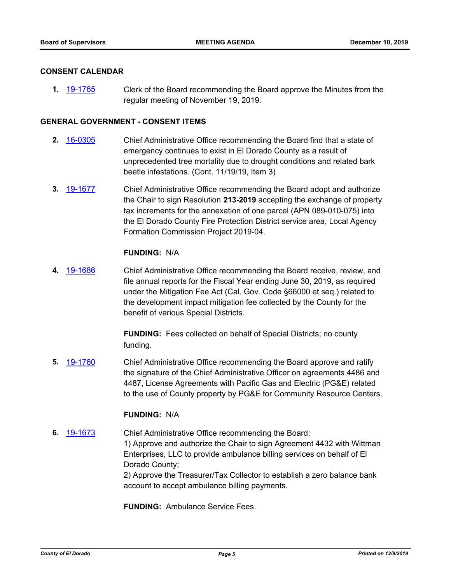#### **CONSENT CALENDAR**

**1.** [19-1765](http://eldorado.legistar.com/gateway.aspx?m=l&id=/matter.aspx?key=27089) Clerk of the Board recommending the Board approve the Minutes from the regular meeting of November 19, 2019.

#### **GENERAL GOVERNMENT - CONSENT ITEMS**

- **2.** [16-0305](http://eldorado.legistar.com/gateway.aspx?m=l&id=/matter.aspx?key=20961) Chief Administrative Office recommending the Board find that a state of emergency continues to exist in El Dorado County as a result of unprecedented tree mortality due to drought conditions and related bark beetle infestations. (Cont. 11/19/19, Item 3)
- **3.** [19-1677](http://eldorado.legistar.com/gateway.aspx?m=l&id=/matter.aspx?key=27001) Chief Administrative Office recommending the Board adopt and authorize the Chair to sign Resolution **213-2019** accepting the exchange of property tax increments for the annexation of one parcel (APN 089-010-075) into the El Dorado County Fire Protection District service area, Local Agency Formation Commission Project 2019-04.

#### **FUNDING:** N/A

**4.** [19-1686](http://eldorado.legistar.com/gateway.aspx?m=l&id=/matter.aspx?key=27010) Chief Administrative Office recommending the Board receive, review, and file annual reports for the Fiscal Year ending June 30, 2019, as required under the Mitigation Fee Act (Cal. Gov. Code §66000 et seq.) related to the development impact mitigation fee collected by the County for the benefit of various Special Districts.

> **FUNDING:** Fees collected on behalf of Special Districts; no county funding.

**5.** [19-1760](http://eldorado.legistar.com/gateway.aspx?m=l&id=/matter.aspx?key=27084) Chief Administrative Office recommending the Board approve and ratify the signature of the Chief Administrative Officer on agreements 4486 and 4487, License Agreements with Pacific Gas and Electric (PG&E) related to the use of County property by PG&E for Community Resource Centers.

#### **FUNDING:** N/A

**6.** [19-1673](http://eldorado.legistar.com/gateway.aspx?m=l&id=/matter.aspx?key=26997) Chief Administrative Office recommending the Board: 1) Approve and authorize the Chair to sign Agreement 4432 with Wittman Enterprises, LLC to provide ambulance billing services on behalf of El Dorado County; 2) Approve the Treasurer/Tax Collector to establish a zero balance bank

account to accept ambulance billing payments.

**FUNDING:** Ambulance Service Fees.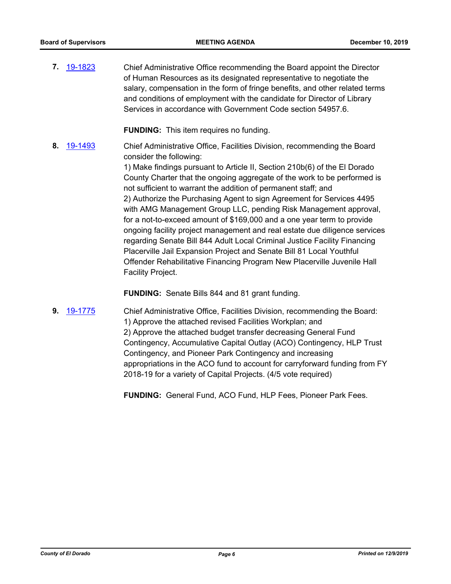**7.** [19-1823](http://eldorado.legistar.com/gateway.aspx?m=l&id=/matter.aspx?key=27147) Chief Administrative Office recommending the Board appoint the Director of Human Resources as its designated representative to negotiate the salary, compensation in the form of fringe benefits, and other related terms and conditions of employment with the candidate for Director of Library Services in accordance with Government Code section 54957.6.

**FUNDING:** This item requires no funding.

**8.** [19-1493](http://eldorado.legistar.com/gateway.aspx?m=l&id=/matter.aspx?key=26815) Chief Administrative Office, Facilities Division, recommending the Board consider the following:

> 1) Make findings pursuant to Article II, Section 210b(6) of the El Dorado County Charter that the ongoing aggregate of the work to be performed is not sufficient to warrant the addition of permanent staff; and 2) Authorize the Purchasing Agent to sign Agreement for Services 4495 with AMG Management Group LLC, pending Risk Management approval, for a not-to-exceed amount of \$169,000 and a one year term to provide ongoing facility project management and real estate due diligence services regarding Senate Bill 844 Adult Local Criminal Justice Facility Financing Placerville Jail Expansion Project and Senate Bill 81 Local Youthful Offender Rehabilitative Financing Program New Placerville Juvenile Hall Facility Project.

**FUNDING:** Senate Bills 844 and 81 grant funding.

**9.** [19-1775](http://eldorado.legistar.com/gateway.aspx?m=l&id=/matter.aspx?key=27099) Chief Administrative Office, Facilities Division, recommending the Board: 1) Approve the attached revised Facilities Workplan; and 2) Approve the attached budget transfer decreasing General Fund Contingency, Accumulative Capital Outlay (ACO) Contingency, HLP Trust Contingency, and Pioneer Park Contingency and increasing appropriations in the ACO fund to account for carryforward funding from FY 2018-19 for a variety of Capital Projects. (4/5 vote required)

**FUNDING:** General Fund, ACO Fund, HLP Fees, Pioneer Park Fees.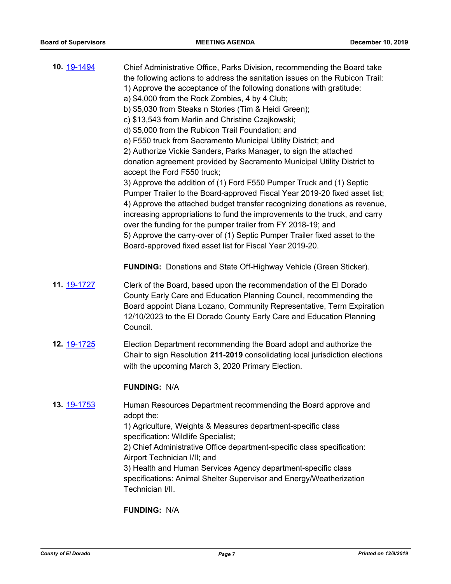| 10. 19-1494        | Chief Administrative Office, Parks Division, recommending the Board take<br>the following actions to address the sanitation issues on the Rubicon Trail:<br>1) Approve the acceptance of the following donations with gratitude:<br>a) \$4,000 from the Rock Zombies, 4 by 4 Club;<br>b) \$5,030 from Steaks n Stories (Tim & Heidi Green);<br>c) \$13,543 from Marlin and Christine Czajkowski;<br>d) \$5,000 from the Rubicon Trail Foundation; and<br>e) F550 truck from Sacramento Municipal Utility District; and<br>2) Authorize Vickie Sanders, Parks Manager, to sign the attached<br>donation agreement provided by Sacramento Municipal Utility District to<br>accept the Ford F550 truck;<br>3) Approve the addition of (1) Ford F550 Pumper Truck and (1) Septic<br>Pumper Trailer to the Board-approved Fiscal Year 2019-20 fixed asset list;<br>4) Approve the attached budget transfer recognizing donations as revenue,<br>increasing appropriations to fund the improvements to the truck, and carry<br>over the funding for the pumper trailer from FY 2018-19; and<br>5) Approve the carry-over of (1) Septic Pumper Trailer fixed asset to the<br>Board-approved fixed asset list for Fiscal Year 2019-20. |
|--------------------|--------------------------------------------------------------------------------------------------------------------------------------------------------------------------------------------------------------------------------------------------------------------------------------------------------------------------------------------------------------------------------------------------------------------------------------------------------------------------------------------------------------------------------------------------------------------------------------------------------------------------------------------------------------------------------------------------------------------------------------------------------------------------------------------------------------------------------------------------------------------------------------------------------------------------------------------------------------------------------------------------------------------------------------------------------------------------------------------------------------------------------------------------------------------------------------------------------------------------------|
|                    | <b>FUNDING:</b> Donations and State Off-Highway Vehicle (Green Sticker).                                                                                                                                                                                                                                                                                                                                                                                                                                                                                                                                                                                                                                                                                                                                                                                                                                                                                                                                                                                                                                                                                                                                                       |
| 11. 19-1727        | Clerk of the Board, based upon the recommendation of the El Dorado<br>County Early Care and Education Planning Council, recommending the<br>Board appoint Diana Lozano, Community Representative, Term Expiration<br>12/10/2023 to the El Dorado County Early Care and Education Planning<br>Council.                                                                                                                                                                                                                                                                                                                                                                                                                                                                                                                                                                                                                                                                                                                                                                                                                                                                                                                          |
| 12. 19-1725        | Election Department recommending the Board adopt and authorize the<br>Chair to sign Resolution 211-2019 consolidating local jurisdiction elections<br>with the upcoming March 3, 2020 Primary Election.                                                                                                                                                                                                                                                                                                                                                                                                                                                                                                                                                                                                                                                                                                                                                                                                                                                                                                                                                                                                                        |
|                    | <b>FUNDING: N/A</b>                                                                                                                                                                                                                                                                                                                                                                                                                                                                                                                                                                                                                                                                                                                                                                                                                                                                                                                                                                                                                                                                                                                                                                                                            |
| <b>13.</b> 19-1753 | Human Resources Department recommending the Board approve and<br>adopt the:<br>1) Agriculture, Weights & Measures department-specific class<br>specification: Wildlife Specialist;<br>2) Chief Administrative Office department-specific class specification:<br>Airport Technician I/II; and<br>3) Health and Human Services Agency department-specific class<br>specifications: Animal Shelter Supervisor and Energy/Weatherization                                                                                                                                                                                                                                                                                                                                                                                                                                                                                                                                                                                                                                                                                                                                                                                          |

**FUNDING:** N/A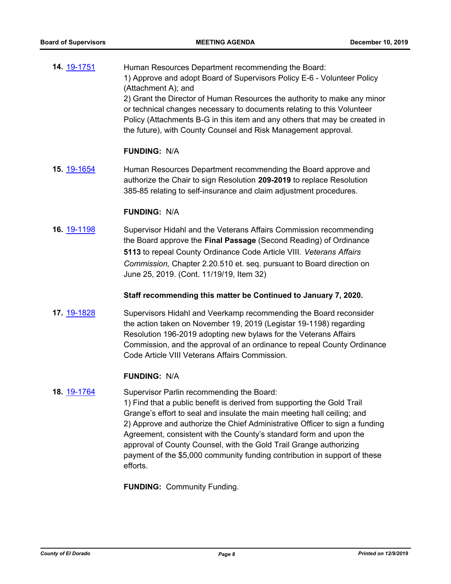**14.** [19-1751](http://eldorado.legistar.com/gateway.aspx?m=l&id=/matter.aspx?key=27075) Human Resources Department recommending the Board: 1) Approve and adopt Board of Supervisors Policy E-6 - Volunteer Policy (Attachment A); and 2) Grant the Director of Human Resources the authority to make any minor or technical changes necessary to documents relating to this Volunteer Policy (Attachments B-G in this item and any others that may be created in the future), with County Counsel and Risk Management approval.

#### **FUNDING:** N/A

**15.** [19-1654](http://eldorado.legistar.com/gateway.aspx?m=l&id=/matter.aspx?key=26978) Human Resources Department recommending the Board approve and authorize the Chair to sign Resolution **209-2019** to replace Resolution 385-85 relating to self-insurance and claim adjustment procedures.

#### **FUNDING:** N/A

**16.** [19-1198](http://eldorado.legistar.com/gateway.aspx?m=l&id=/matter.aspx?key=26521) Supervisor Hidahl and the Veterans Affairs Commission recommending the Board approve the **Final Passage** (Second Reading) of Ordinance **5113** to repeal County Ordinance Code Article VIII. *Veterans Affairs Commission,* Chapter 2.20.510 et. seq. pursuant to Board direction on June 25, 2019. (Cont. 11/19/19, Item 32)

#### **Staff recommending this matter be Continued to January 7, 2020.**

**17.** [19-1828](http://eldorado.legistar.com/gateway.aspx?m=l&id=/matter.aspx?key=27152) Supervisors Hidahl and Veerkamp recommending the Board reconsider the action taken on November 19, 2019 (Legistar 19-1198) regarding Resolution 196-2019 adopting new bylaws for the Veterans Affairs Commission, and the approval of an ordinance to repeal County Ordinance Code Article VIII Veterans Affairs Commission.

#### **FUNDING:** N/A

#### **18.** [19-1764](http://eldorado.legistar.com/gateway.aspx?m=l&id=/matter.aspx?key=27088) Supervisor Parlin recommending the Board:

1) Find that a public benefit is derived from supporting the Gold Trail Grange's effort to seal and insulate the main meeting hall ceiling; and 2) Approve and authorize the Chief Administrative Officer to sign a funding Agreement, consistent with the County's standard form and upon the approval of County Counsel, with the Gold Trail Grange authorizing payment of the \$5,000 community funding contribution in support of these efforts.

**FUNDING:** Community Funding.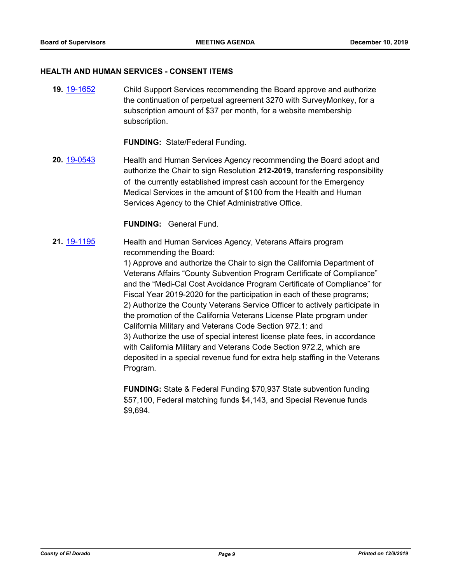#### **HEALTH AND HUMAN SERVICES - CONSENT ITEMS**

**19.** [19-1652](http://eldorado.legistar.com/gateway.aspx?m=l&id=/matter.aspx?key=26976) Child Support Services recommending the Board approve and authorize the continuation of perpetual agreement 3270 with SurveyMonkey, for a subscription amount of \$37 per month, for a website membership subscription.

**FUNDING:** State/Federal Funding.

**20.** [19-0543](http://eldorado.legistar.com/gateway.aspx?m=l&id=/matter.aspx?key=25864) Health and Human Services Agency recommending the Board adopt and authorize the Chair to sign Resolution **212-2019,** transferring responsibility of the currently established imprest cash account for the Emergency Medical Services in the amount of \$100 from the Health and Human Services Agency to the Chief Administrative Office.

#### **FUNDING:** General Fund.

**21.** [19-1195](http://eldorado.legistar.com/gateway.aspx?m=l&id=/matter.aspx?key=26518) Health and Human Services Agency, Veterans Affairs program recommending the Board:

> 1) Approve and authorize the Chair to sign the California Department of Veterans Affairs "County Subvention Program Certificate of Compliance" and the "Medi-Cal Cost Avoidance Program Certificate of Compliance" for Fiscal Year 2019-2020 for the participation in each of these programs; 2) Authorize the County Veterans Service Officer to actively participate in the promotion of the California Veterans License Plate program under California Military and Veterans Code Section 972.1: and 3) Authorize the use of special interest license plate fees, in accordance with California Military and Veterans Code Section 972.2, which are deposited in a special revenue fund for extra help staffing in the Veterans Program.

**FUNDING:** State & Federal Funding \$70,937 State subvention funding \$57,100, Federal matching funds \$4,143, and Special Revenue funds \$9,694.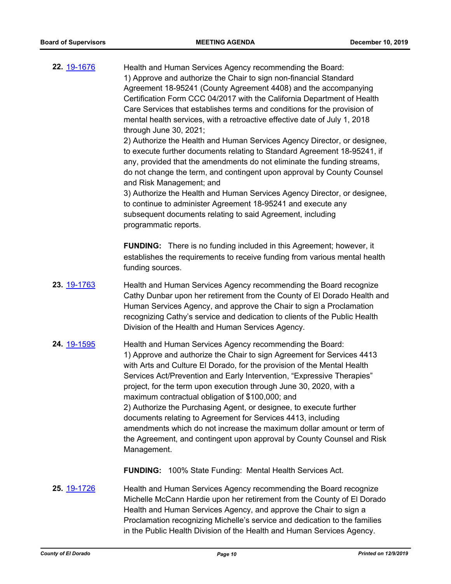| 22. 19-1676        | Health and Human Services Agency recommending the Board:<br>1) Approve and authorize the Chair to sign non-financial Standard<br>Agreement 18-95241 (County Agreement 4408) and the accompanying<br>Certification Form CCC 04/2017 with the California Department of Health<br>Care Services that establishes terms and conditions for the provision of<br>mental health services, with a retroactive effective date of July 1, 2018<br>through June 30, 2021;<br>2) Authorize the Health and Human Services Agency Director, or designee,<br>to execute further documents relating to Standard Agreement 18-95241, if<br>any, provided that the amendments do not eliminate the funding streams,<br>do not change the term, and contingent upon approval by County Counsel<br>and Risk Management; and<br>3) Authorize the Health and Human Services Agency Director, or designee,<br>to continue to administer Agreement 18-95241 and execute any<br>subsequent documents relating to said Agreement, including<br>programmatic reports. |
|--------------------|--------------------------------------------------------------------------------------------------------------------------------------------------------------------------------------------------------------------------------------------------------------------------------------------------------------------------------------------------------------------------------------------------------------------------------------------------------------------------------------------------------------------------------------------------------------------------------------------------------------------------------------------------------------------------------------------------------------------------------------------------------------------------------------------------------------------------------------------------------------------------------------------------------------------------------------------------------------------------------------------------------------------------------------------|
|                    | <b>FUNDING:</b> There is no funding included in this Agreement; however, it<br>establishes the requirements to receive funding from various mental health<br>funding sources.                                                                                                                                                                                                                                                                                                                                                                                                                                                                                                                                                                                                                                                                                                                                                                                                                                                              |
| 23. 19-1763        | Health and Human Services Agency recommending the Board recognize<br>Cathy Dunbar upon her retirement from the County of El Dorado Health and<br>Human Services Agency, and approve the Chair to sign a Proclamation<br>recognizing Cathy's service and dedication to clients of the Public Health<br>Division of the Health and Human Services Agency.                                                                                                                                                                                                                                                                                                                                                                                                                                                                                                                                                                                                                                                                                    |
| 24. 19-1595        | Health and Human Services Agency recommending the Board:<br>1) Approve and authorize the Chair to sign Agreement for Services 4413<br>with Arts and Culture El Dorado, for the provision of the Mental Health<br>Services Act/Prevention and Early Intervention, "Expressive Therapies"<br>project, for the term upon execution through June 30, 2020, with a<br>maximum contractual obligation of \$100,000; and<br>2) Authorize the Purchasing Agent, or designee, to execute further<br>documents relating to Agreement for Services 4413, including<br>amendments which do not increase the maximum dollar amount or term of<br>the Agreement, and contingent upon approval by County Counsel and Risk<br>Management.                                                                                                                                                                                                                                                                                                                  |
|                    | <b>FUNDING:</b> 100% State Funding: Mental Health Services Act.                                                                                                                                                                                                                                                                                                                                                                                                                                                                                                                                                                                                                                                                                                                                                                                                                                                                                                                                                                            |
| <b>25.</b> 19-1726 | Health and Human Services Agency recommending the Board recognize                                                                                                                                                                                                                                                                                                                                                                                                                                                                                                                                                                                                                                                                                                                                                                                                                                                                                                                                                                          |

Michelle McCann Hardie upon her retirement from the County of El Dorado Health and Human Services Agency, and approve the Chair to sign a Proclamation recognizing Michelle's service and dedication to the families in the Public Health Division of the Health and Human Services Agency.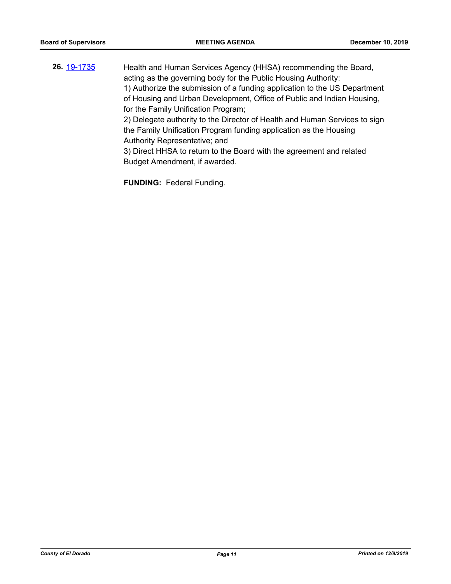**26.** [19-1735](http://eldorado.legistar.com/gateway.aspx?m=l&id=/matter.aspx?key=27059) Health and Human Services Agency (HHSA) recommending the Board, acting as the governing body for the Public Housing Authority: 1) Authorize the submission of a funding application to the US Department of Housing and Urban Development, Office of Public and Indian Housing, for the Family Unification Program; 2) Delegate authority to the Director of Health and Human Services to sign the Family Unification Program funding application as the Housing Authority Representative; and 3) Direct HHSA to return to the Board with the agreement and related Budget Amendment, if awarded.

**FUNDING:** Federal Funding.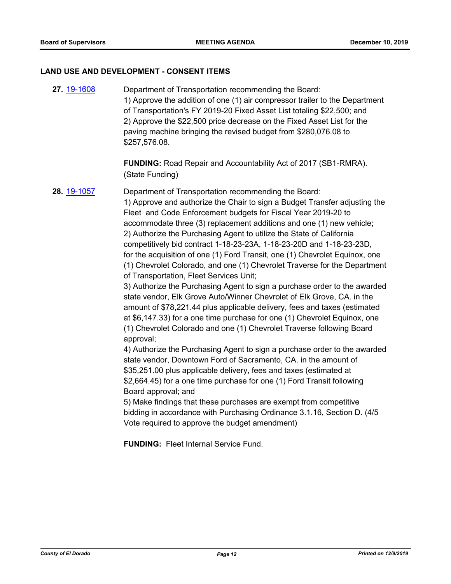#### **LAND USE AND DEVELOPMENT - CONSENT ITEMS**

**27.** [19-1608](http://eldorado.legistar.com/gateway.aspx?m=l&id=/matter.aspx?key=26932) Department of Transportation recommending the Board: 1) Approve the addition of one (1) air compressor trailer to the Department of Transportation's FY 2019-20 Fixed Asset List totaling \$22,500; and 2) Approve the \$22,500 price decrease on the Fixed Asset List for the paving machine bringing the revised budget from \$280,076.08 to \$257,576.08.

> **FUNDING:** Road Repair and Accountability Act of 2017 (SB1-RMRA). (State Funding)

**28.** [19-1057](http://eldorado.legistar.com/gateway.aspx?m=l&id=/matter.aspx?key=26379) Department of Transportation recommending the Board: 1) Approve and authorize the Chair to sign a Budget Transfer adjusting the Fleet and Code Enforcement budgets for Fiscal Year 2019-20 to accommodate three (3) replacement additions and one (1) new vehicle; 2) Authorize the Purchasing Agent to utilize the State of California competitively bid contract 1-18-23-23A, 1-18-23-20D and 1-18-23-23D, for the acquisition of one (1) Ford Transit, one (1) Chevrolet Equinox, one (1) Chevrolet Colorado, and one (1) Chevrolet Traverse for the Department of Transportation, Fleet Services Unit;

> 3) Authorize the Purchasing Agent to sign a purchase order to the awarded state vendor, Elk Grove Auto/Winner Chevrolet of Elk Grove, CA. in the amount of \$78,221.44 plus applicable delivery, fees and taxes (estimated at \$6,147.33) for a one time purchase for one (1) Chevrolet Equinox, one (1) Chevrolet Colorado and one (1) Chevrolet Traverse following Board approval;

> 4) Authorize the Purchasing Agent to sign a purchase order to the awarded state vendor, Downtown Ford of Sacramento, CA. in the amount of \$35,251.00 plus applicable delivery, fees and taxes (estimated at \$2,664.45) for a one time purchase for one (1) Ford Transit following Board approval; and

5) Make findings that these purchases are exempt from competitive bidding in accordance with Purchasing Ordinance 3.1.16, Section D. (4/5 Vote required to approve the budget amendment)

**FUNDING:** Fleet Internal Service Fund.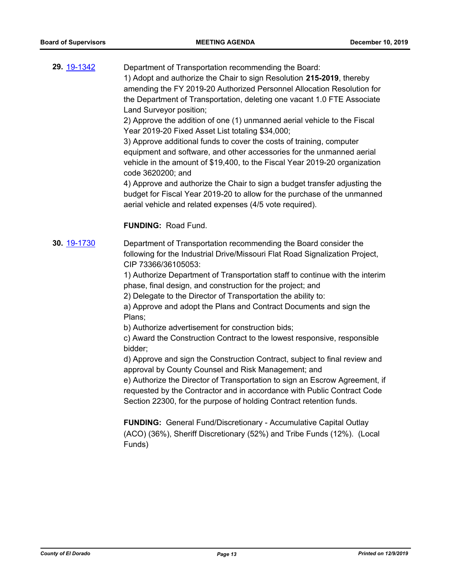**29.** [19-1342](http://eldorado.legistar.com/gateway.aspx?m=l&id=/matter.aspx?key=26663) Department of Transportation recommending the Board: 1) Adopt and authorize the Chair to sign Resolution **215-2019**, thereby amending the FY 2019-20 Authorized Personnel Allocation Resolution for the Department of Transportation, deleting one vacant 1.0 FTE Associate Land Surveyor position;

2) Approve the addition of one (1) unmanned aerial vehicle to the Fiscal Year 2019-20 Fixed Asset List totaling \$34,000;

3) Approve additional funds to cover the costs of training, computer equipment and software, and other accessories for the unmanned aerial vehicle in the amount of \$19,400, to the Fiscal Year 2019-20 organization code 3620200; and

4) Approve and authorize the Chair to sign a budget transfer adjusting the budget for Fiscal Year 2019-20 to allow for the purchase of the unmanned aerial vehicle and related expenses (4/5 vote required).

#### **FUNDING:** Road Fund.

**30.** [19-1730](http://eldorado.legistar.com/gateway.aspx?m=l&id=/matter.aspx?key=27054) Department of Transportation recommending the Board consider the following for the Industrial Drive/Missouri Flat Road Signalization Project, CIP 73366/36105053:

> 1) Authorize Department of Transportation staff to continue with the interim phase, final design, and construction for the project; and

2) Delegate to the Director of Transportation the ability to:

a) Approve and adopt the Plans and Contract Documents and sign the Plans;

b) Authorize advertisement for construction bids;

c) Award the Construction Contract to the lowest responsive, responsible bidder;

d) Approve and sign the Construction Contract, subject to final review and approval by County Counsel and Risk Management; and

e) Authorize the Director of Transportation to sign an Escrow Agreement, if requested by the Contractor and in accordance with Public Contract Code Section 22300, for the purpose of holding Contract retention funds.

**FUNDING:** General Fund/Discretionary - Accumulative Capital Outlay (ACO) (36%), Sheriff Discretionary (52%) and Tribe Funds (12%). (Local Funds)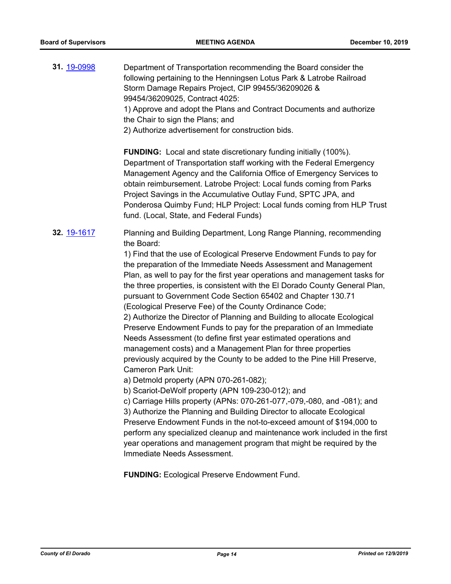| 31. 19-0998 | Department of Transportation recommending the Board consider the<br>following pertaining to the Henningsen Lotus Park & Latrobe Railroad<br>Storm Damage Repairs Project, CIP 99455/36209026 &<br>99454/36209025, Contract 4025:<br>1) Approve and adopt the Plans and Contract Documents and authorize<br>the Chair to sign the Plans; and<br>2) Authorize advertisement for construction bids.                                                                                                                                                                                                                                                                                                                                                                                                                                                                                                                                                                                                                                                                                                                                                                                                                                                                                                                                                                                                                                          |
|-------------|-------------------------------------------------------------------------------------------------------------------------------------------------------------------------------------------------------------------------------------------------------------------------------------------------------------------------------------------------------------------------------------------------------------------------------------------------------------------------------------------------------------------------------------------------------------------------------------------------------------------------------------------------------------------------------------------------------------------------------------------------------------------------------------------------------------------------------------------------------------------------------------------------------------------------------------------------------------------------------------------------------------------------------------------------------------------------------------------------------------------------------------------------------------------------------------------------------------------------------------------------------------------------------------------------------------------------------------------------------------------------------------------------------------------------------------------|
|             | <b>FUNDING:</b> Local and state discretionary funding initially (100%).<br>Department of Transportation staff working with the Federal Emergency<br>Management Agency and the California Office of Emergency Services to<br>obtain reimbursement. Latrobe Project: Local funds coming from Parks<br>Project Savings in the Accumulative Outlay Fund, SPTC JPA, and<br>Ponderosa Quimby Fund; HLP Project: Local funds coming from HLP Trust<br>fund. (Local, State, and Federal Funds)                                                                                                                                                                                                                                                                                                                                                                                                                                                                                                                                                                                                                                                                                                                                                                                                                                                                                                                                                    |
| 32. 19-1617 | Planning and Building Department, Long Range Planning, recommending<br>the Board:<br>1) Find that the use of Ecological Preserve Endowment Funds to pay for<br>the preparation of the Immediate Needs Assessment and Management<br>Plan, as well to pay for the first year operations and management tasks for<br>the three properties, is consistent with the El Dorado County General Plan,<br>pursuant to Government Code Section 65402 and Chapter 130.71<br>(Ecological Preserve Fee) of the County Ordinance Code;<br>2) Authorize the Director of Planning and Building to allocate Ecological<br>Preserve Endowment Funds to pay for the preparation of an Immediate<br>Needs Assessment (to define first year estimated operations and<br>management costs) and a Management Plan for three properties<br>previously acquired by the County to be added to the Pine Hill Preserve,<br><b>Cameron Park Unit:</b><br>a) Detmold property (APN 070-261-082);<br>b) Scariot-DeWolf property (APN 109-230-012); and<br>c) Carriage Hills property (APNs: 070-261-077,-079,-080, and -081); and<br>3) Authorize the Planning and Building Director to allocate Ecological<br>Preserve Endowment Funds in the not-to-exceed amount of \$194,000 to<br>perform any specialized cleanup and maintenance work included in the first<br>year operations and management program that might be required by the<br>Immediate Needs Assessment. |

**FUNDING:** Ecological Preserve Endowment Fund.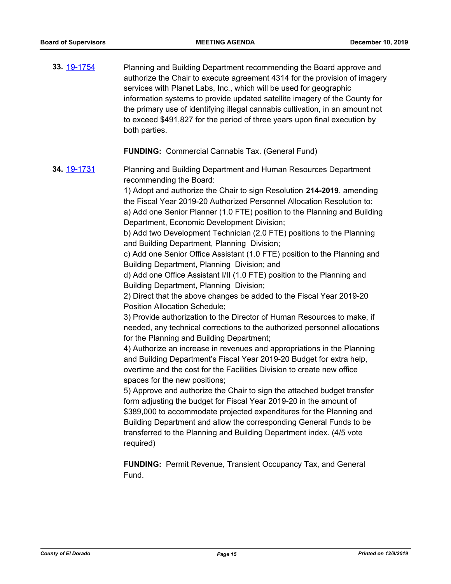**33.** [19-1754](http://eldorado.legistar.com/gateway.aspx?m=l&id=/matter.aspx?key=27078) Planning and Building Department recommending the Board approve and authorize the Chair to execute agreement 4314 for the provision of imagery services with Planet Labs, Inc., which will be used for geographic information systems to provide updated satellite imagery of the County for the primary use of identifying illegal cannabis cultivation, in an amount not to exceed \$491,827 for the period of three years upon final execution by both parties.

**FUNDING:** Commercial Cannabis Tax. (General Fund)

**34.** [19-1731](http://eldorado.legistar.com/gateway.aspx?m=l&id=/matter.aspx?key=27055) Planning and Building Department and Human Resources Department recommending the Board:

> 1) Adopt and authorize the Chair to sign Resolution **214-2019**, amending the Fiscal Year 2019-20 Authorized Personnel Allocation Resolution to: a) Add one Senior Planner (1.0 FTE) position to the Planning and Building Department, Economic Development Division;

b) Add two Development Technician (2.0 FTE) positions to the Planning and Building Department, Planning Division;

c) Add one Senior Office Assistant (1.0 FTE) position to the Planning and Building Department, Planning Division; and

d) Add one Office Assistant I/II (1.0 FTE) position to the Planning and Building Department, Planning Division;

2) Direct that the above changes be added to the Fiscal Year 2019-20 Position Allocation Schedule;

3) Provide authorization to the Director of Human Resources to make, if needed, any technical corrections to the authorized personnel allocations for the Planning and Building Department;

4) Authorize an increase in revenues and appropriations in the Planning and Building Department's Fiscal Year 2019-20 Budget for extra help, overtime and the cost for the Facilities Division to create new office spaces for the new positions;

5) Approve and authorize the Chair to sign the attached budget transfer form adjusting the budget for Fiscal Year 2019-20 in the amount of \$389,000 to accommodate projected expenditures for the Planning and Building Department and allow the corresponding General Funds to be transferred to the Planning and Building Department index. (4/5 vote required)

**FUNDING:** Permit Revenue, Transient Occupancy Tax, and General Fund.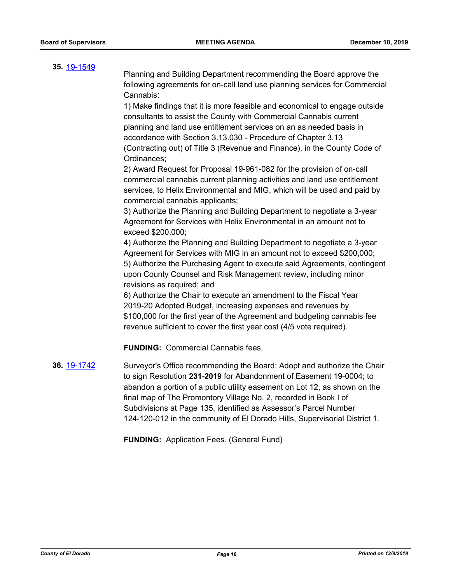#### **35.** [19-1549](http://eldorado.legistar.com/gateway.aspx?m=l&id=/matter.aspx?key=26871)

Planning and Building Department recommending the Board approve the following agreements for on-call land use planning services for Commercial Cannabis:

1) Make findings that it is more feasible and economical to engage outside consultants to assist the County with Commercial Cannabis current planning and land use entitlement services on an as needed basis in accordance with Section 3.13.030 - Procedure of Chapter 3.13 (Contracting out) of Title 3 (Revenue and Finance), in the County Code of Ordinances;

2) Award Request for Proposal 19-961-082 for the provision of on-call commercial cannabis current planning activities and land use entitlement services, to Helix Environmental and MIG, which will be used and paid by commercial cannabis applicants;

3) Authorize the Planning and Building Department to negotiate a 3-year Agreement for Services with Helix Environmental in an amount not to exceed \$200,000;

4) Authorize the Planning and Building Department to negotiate a 3-year Agreement for Services with MIG in an amount not to exceed \$200,000; 5) Authorize the Purchasing Agent to execute said Agreements, contingent upon County Counsel and Risk Management review, including minor revisions as required; and

6) Authorize the Chair to execute an amendment to the Fiscal Year 2019-20 Adopted Budget, increasing expenses and revenues by \$100,000 for the first year of the Agreement and budgeting cannabis fee revenue sufficient to cover the first year cost (4/5 vote required).

**FUNDING:** Commercial Cannabis fees.

**36.** [19-1742](http://eldorado.legistar.com/gateway.aspx?m=l&id=/matter.aspx?key=27066) Surveyor's Office recommending the Board: Adopt and authorize the Chair to sign Resolution **231-2019** for Abandonment of Easement 19-0004; to abandon a portion of a public utility easement on Lot 12, as shown on the final map of The Promontory Village No. 2, recorded in Book I of Subdivisions at Page 135, identified as Assessor's Parcel Number 124-120-012 in the community of El Dorado Hills, Supervisorial District 1.

**FUNDING:** Application Fees. (General Fund)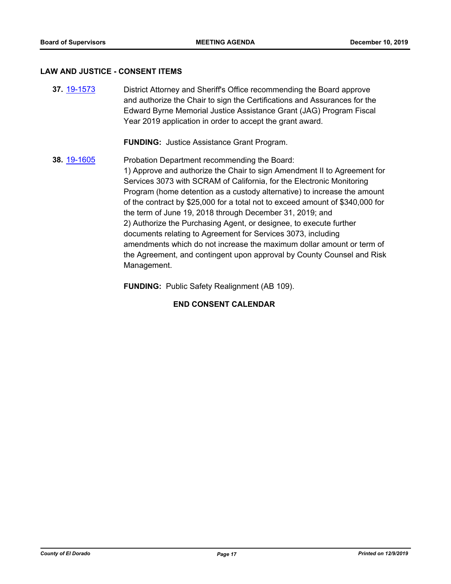#### **LAW AND JUSTICE - CONSENT ITEMS**

**37.** [19-1573](http://eldorado.legistar.com/gateway.aspx?m=l&id=/matter.aspx?key=26897) District Attorney and Sheriff's Office recommending the Board approve and authorize the Chair to sign the Certifications and Assurances for the Edward Byrne Memorial Justice Assistance Grant (JAG) Program Fiscal Year 2019 application in order to accept the grant award.

**FUNDING:** Justice Assistance Grant Program.

**38.** [19-1605](http://eldorado.legistar.com/gateway.aspx?m=l&id=/matter.aspx?key=26929) Probation Department recommending the Board: 1) Approve and authorize the Chair to sign Amendment II to Agreement for Services 3073 with SCRAM of California, for the Electronic Monitoring Program (home detention as a custody alternative) to increase the amount of the contract by \$25,000 for a total not to exceed amount of \$340,000 for the term of June 19, 2018 through December 31, 2019; and 2) Authorize the Purchasing Agent, or designee, to execute further documents relating to Agreement for Services 3073, including amendments which do not increase the maximum dollar amount or term of the Agreement, and contingent upon approval by County Counsel and Risk Management.

**FUNDING:** Public Safety Realignment (AB 109).

#### **END CONSENT CALENDAR**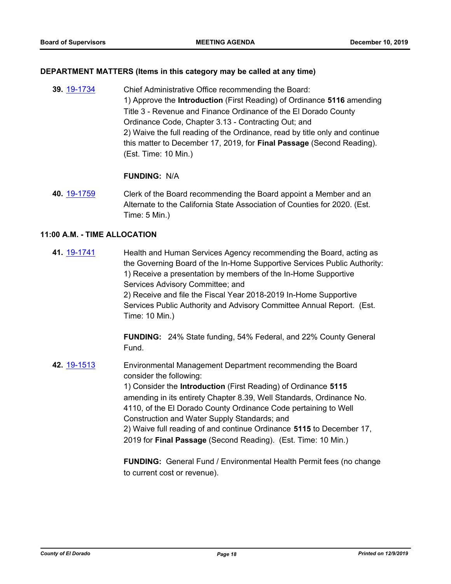#### **DEPARTMENT MATTERS (Items in this category may be called at any time)**

**39.** [19-1734](http://eldorado.legistar.com/gateway.aspx?m=l&id=/matter.aspx?key=27058) Chief Administrative Office recommending the Board: 1) Approve the **Introduction** (First Reading) of Ordinance **5116** amending Title 3 - Revenue and Finance Ordinance of the El Dorado County Ordinance Code, Chapter 3.13 - Contracting Out; and 2) Waive the full reading of the Ordinance, read by title only and continue this matter to December 17, 2019, for **Final Passage** (Second Reading). (Est. Time: 10 Min.)

#### **FUNDING:** N/A

**40.** [19-1759](http://eldorado.legistar.com/gateway.aspx?m=l&id=/matter.aspx?key=27083) Clerk of the Board recommending the Board appoint a Member and an Alternate to the California State Association of Counties for 2020. (Est. Time: 5 Min.)

#### **11:00 A.M. - TIME ALLOCATION**

**41.** [19-1741](http://eldorado.legistar.com/gateway.aspx?m=l&id=/matter.aspx?key=27065) Health and Human Services Agency recommending the Board, acting as the Governing Board of the In-Home Supportive Services Public Authority: 1) Receive a presentation by members of the In-Home Supportive Services Advisory Committee; and 2) Receive and file the Fiscal Year 2018-2019 In-Home Supportive Services Public Authority and Advisory Committee Annual Report. (Est. Time: 10 Min.)

> **FUNDING:** 24% State funding, 54% Federal, and 22% County General Fund.

**42.** [19-1513](http://eldorado.legistar.com/gateway.aspx?m=l&id=/matter.aspx?key=26835) Environmental Management Department recommending the Board consider the following: 1) Consider the **Introduction** (First Reading) of Ordinance **5115** amending in its entirety Chapter 8.39, Well Standards, Ordinance No. 4110, of the El Dorado County Ordinance Code pertaining to Well Construction and Water Supply Standards; and 2) Waive full reading of and continue Ordinance **5115** to December 17, 2019 for **Final Passage** (Second Reading). (Est. Time: 10 Min.)

> **FUNDING:** General Fund / Environmental Health Permit fees (no change to current cost or revenue).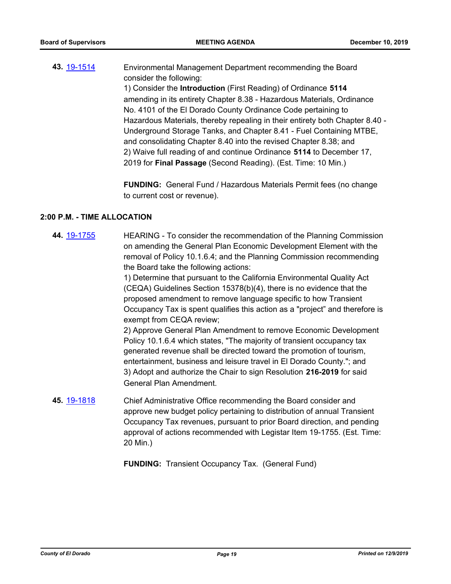**43.** [19-1514](http://eldorado.legistar.com/gateway.aspx?m=l&id=/matter.aspx?key=26836) Environmental Management Department recommending the Board consider the following:

1) Consider the **Introduction** (First Reading) of Ordinance **5114** amending in its entirety Chapter 8.38 - Hazardous Materials, Ordinance No. 4101 of the El Dorado County Ordinance Code pertaining to Hazardous Materials, thereby repealing in their entirety both Chapter 8.40 - Underground Storage Tanks, and Chapter 8.41 - Fuel Containing MTBE, and consolidating Chapter 8.40 into the revised Chapter 8.38; and 2) Waive full reading of and continue Ordinance **5114** to December 17, 2019 for **Final Passage** (Second Reading). (Est. Time: 10 Min.)

**FUNDING:** General Fund / Hazardous Materials Permit fees (no change to current cost or revenue).

#### **2:00 P.M. - TIME ALLOCATION**

**44.** [19-1755](http://eldorado.legistar.com/gateway.aspx?m=l&id=/matter.aspx?key=27079) HEARING - To consider the recommendation of the Planning Commission on amending the General Plan Economic Development Element with the removal of Policy 10.1.6.4; and the Planning Commission recommending the Board take the following actions:

> 1) Determine that pursuant to the California Environmental Quality Act (CEQA) Guidelines Section 15378(b)(4), there is no evidence that the proposed amendment to remove language specific to how Transient Occupancy Tax is spent qualifies this action as a "project" and therefore is exempt from CEQA review;

2) Approve General Plan Amendment to remove Economic Development Policy 10.1.6.4 which states, "The majority of transient occupancy tax generated revenue shall be directed toward the promotion of tourism, entertainment, business and leisure travel in El Dorado County."; and 3) Adopt and authorize the Chair to sign Resolution **216-2019** for said General Plan Amendment.

**45.** [19-1818](http://eldorado.legistar.com/gateway.aspx?m=l&id=/matter.aspx?key=27142) Chief Administrative Office recommending the Board consider and approve new budget policy pertaining to distribution of annual Transient Occupancy Tax revenues, pursuant to prior Board direction, and pending approval of actions recommended with Legistar Item 19-1755. (Est. Time: 20 Min.)

**FUNDING:** Transient Occupancy Tax. (General Fund)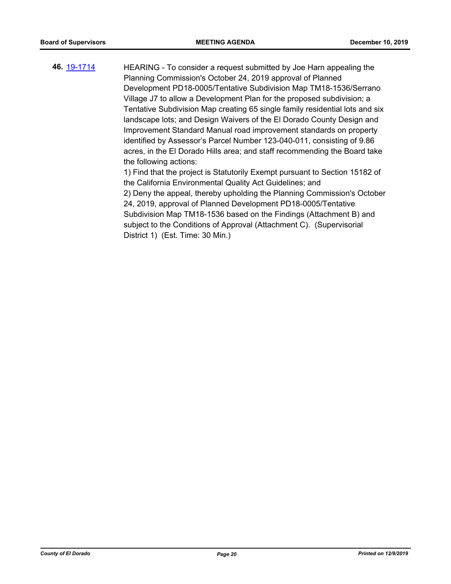**46.** [19-1714](http://eldorado.legistar.com/gateway.aspx?m=l&id=/matter.aspx?key=27038) HEARING - To consider a request submitted by Joe Harn appealing the Planning Commission's October 24, 2019 approval of Planned Development PD18-0005/Tentative Subdivision Map TM18-1536/Serrano Village J7 to allow a Development Plan for the proposed subdivision; a Tentative Subdivision Map creating 65 single family residential lots and six landscape lots; and Design Waivers of the El Dorado County Design and Improvement Standard Manual road improvement standards on property identified by Assessor's Parcel Number 123-040-011, consisting of 9.86 acres, in the El Dorado Hills area; and staff recommending the Board take the following actions: 1) Find that the project is Statutorily Exempt pursuant to Section 15182 of the California Environmental Quality Act Guidelines; and 2) Deny the appeal, thereby upholding the Planning Commission's October

24, 2019, approval of Planned Development PD18-0005/Tentative Subdivision Map TM18-1536 based on the Findings (Attachment B) and subject to the Conditions of Approval (Attachment C). (Supervisorial District 1) (Est. Time: 30 Min.)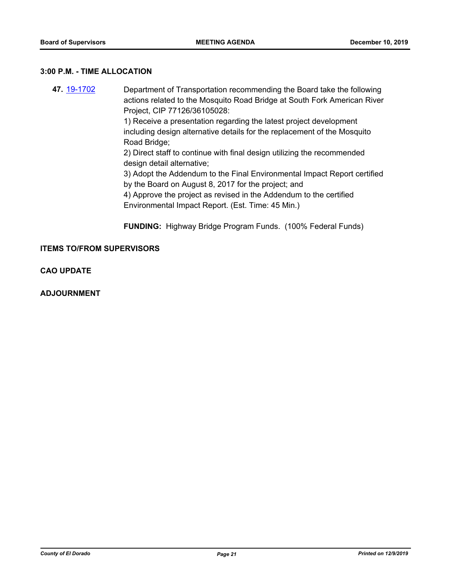## **3:00 P.M. - TIME ALLOCATION**

**47.** [19-1702](http://eldorado.legistar.com/gateway.aspx?m=l&id=/matter.aspx?key=27026) Department of Transportation recommending the Board take the following actions related to the Mosquito Road Bridge at South Fork American River Project, CIP 77126/36105028: 1) Receive a presentation regarding the latest project development including design alternative details for the replacement of the Mosquito Road Bridge; 2) Direct staff to continue with final design utilizing the recommended design detail alternative; 3) Adopt the Addendum to the Final Environmental Impact Report certified by the Board on August 8, 2017 for the project; and 4) Approve the project as revised in the Addendum to the certified Environmental Impact Report. (Est. Time: 45 Min.) **FUNDING:** Highway Bridge Program Funds. (100% Federal Funds)

#### **ITEMS TO/FROM SUPERVISORS**

**CAO UPDATE**

**ADJOURNMENT**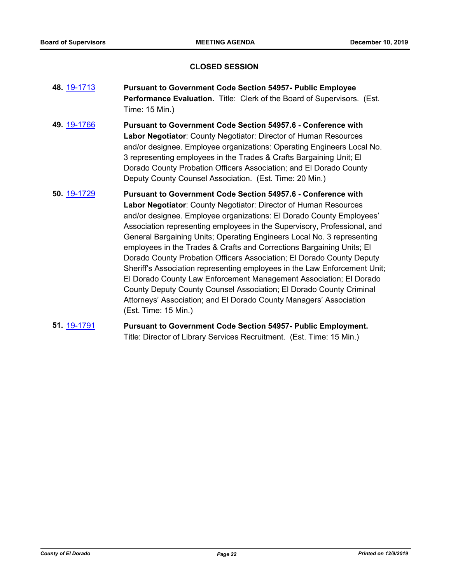#### **CLOSED SESSION**

- **48.** [19-1713](http://eldorado.legistar.com/gateway.aspx?m=l&id=/matter.aspx?key=27037) **Pursuant to Government Code Section 54957- Public Employee Performance Evaluation.** Title: Clerk of the Board of Supervisors. (Est. Time: 15 Min.)
- **49.** [19-1766](http://eldorado.legistar.com/gateway.aspx?m=l&id=/matter.aspx?key=27090) **Pursuant to Government Code Section 54957.6 Conference with Labor Negotiator**: County Negotiator: Director of Human Resources and/or designee. Employee organizations: Operating Engineers Local No. 3 representing employees in the Trades & Crafts Bargaining Unit; El Dorado County Probation Officers Association; and El Dorado County Deputy County Counsel Association. (Est. Time: 20 Min.)
- **50.** [19-1729](http://eldorado.legistar.com/gateway.aspx?m=l&id=/matter.aspx?key=27053) **Pursuant to Government Code Section 54957.6 Conference with Labor Negotiator**: County Negotiator: Director of Human Resources and/or designee. Employee organizations: El Dorado County Employees' Association representing employees in the Supervisory, Professional, and General Bargaining Units; Operating Engineers Local No. 3 representing employees in the Trades & Crafts and Corrections Bargaining Units; El Dorado County Probation Officers Association; El Dorado County Deputy Sheriff's Association representing employees in the Law Enforcement Unit; El Dorado County Law Enforcement Management Association; El Dorado County Deputy County Counsel Association; El Dorado County Criminal Attorneys' Association; and El Dorado County Managers' Association (Est. Time: 15 Min.)
- **51.** [19-1791](http://eldorado.legistar.com/gateway.aspx?m=l&id=/matter.aspx?key=27115) **Pursuant to Government Code Section 54957- Public Employment.** Title: Director of Library Services Recruitment. (Est. Time: 15 Min.)